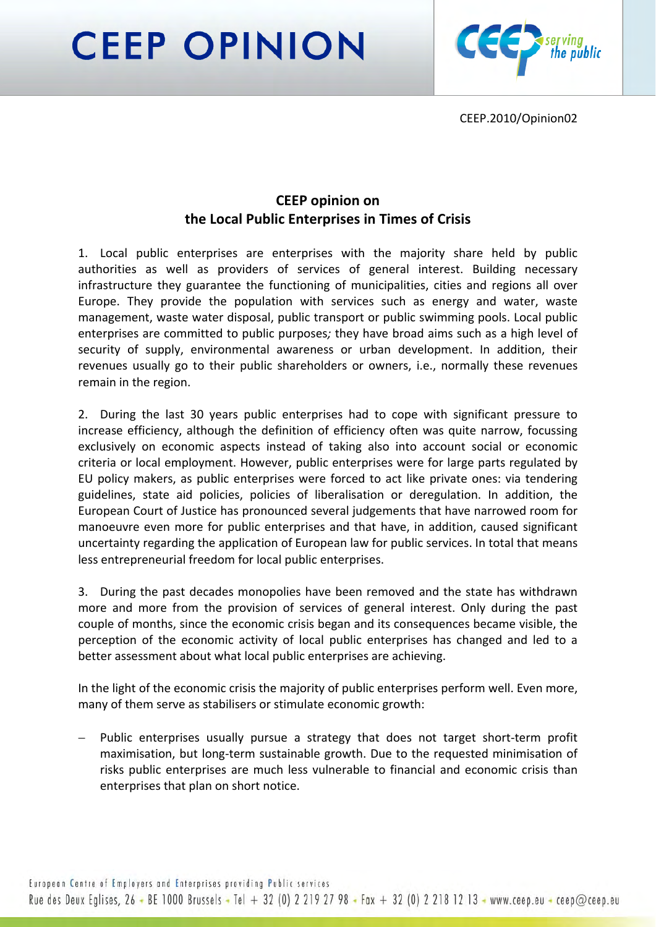**CEEP OPINION** 



CEEP.2010/Opinion02

## **CEEP opinion on the Local Public Enterprises in Times of Crisis**

1. Local public enterprises are enterprises with the majority share held by public authorities as well as providers of services of general interest. Building necessary infrastructure they guarantee the functioning of municipalities, cities and regions all over Europe. They provide the population with services such as energy and water, waste management, waste water disposal, public transport or public swimming pools. Local public enterprises are committed to public purposes*;* they have broad aims such as a high level of security of supply, environmental awareness or urban development. In addition, their revenues usually go to their public shareholders or owners, i.e., normally these revenues remain in the region.

2. During the last 30 years public enterprises had to cope with significant pressure to increase efficiency, although the definition of efficiency often was quite narrow, focussing exclusively on economic aspects instead of taking also into account social or economic criteria or local employment. However, public enterprises were for large parts regulated by EU policy makers, as public enterprises were forced to act like private ones: via tendering guidelines, state aid policies, policies of liberalisation or deregulation. In addition, the European Court of Justice has pronounced several judgements that have narrowed room for manoeuvre even more for public enterprises and that have, in addition, caused significant uncertainty regarding the application of European law for public services. In total that means less entrepreneurial freedom for local public enterprises.

3. During the past decades monopolies have been removed and the state has withdrawn more and more from the provision of services of general interest. Only during the past couple of months, since the economic crisis began and its consequences became visible, the perception of the economic activity of local public enterprises has changed and led to a better assessment about what local public enterprises are achieving.

In the light of the economic crisis the majority of public enterprises perform well. Even more, many of them serve as stabilisers or stimulate economic growth:

Public enterprises usually pursue a strategy that does not target short-term profit maximisation, but long‐term sustainable growth. Due to the requested minimisation of risks public enterprises are much less vulnerable to financial and economic crisis than enterprises that plan on short notice.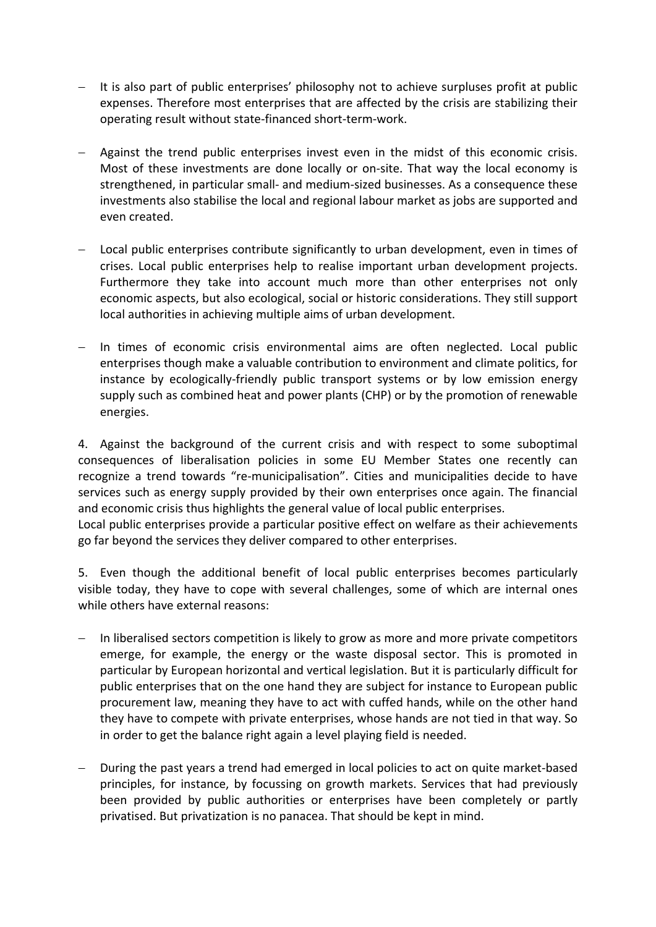- − It is also part of public enterprises' philosophy not to achieve surpluses profit at public expenses. Therefore most enterprises that are affected by the crisis are stabilizing their operating result without state‐financed short‐term‐work.
- − Against the trend public enterprises invest even in the midst of this economic crisis. Most of these investments are done locally or on-site. That way the local economy is strengthened, in particular small‐ and medium‐sized businesses. As a consequence these investments also stabilise the local and regional labour market as jobs are supported and even created.
- − Local public enterprises contribute significantly to urban development, even in times of crises. Local public enterprises help to realise important urban development projects. Furthermore they take into account much more than other enterprises not only economic aspects, but also ecological, social or historic considerations. They still support local authorities in achieving multiple aims of urban development.
- In times of economic crisis environmental aims are often neglected. Local public enterprises though make a valuable contribution to environment and climate politics, for instance by ecologically‐friendly public transport systems or by low emission energy supply such as combined heat and power plants (CHP) or by the promotion of renewable energies.

4. Against the background of the current crisis and with respect to some suboptimal consequences of liberalisation policies in some EU Member States one recently can recognize a trend towards "re‐municipalisation". Cities and municipalities decide to have services such as energy supply provided by their own enterprises once again. The financial and economic crisis thus highlights the general value of local public enterprises.

Local public enterprises provide a particular positive effect on welfare as their achievements go far beyond the services they deliver compared to other enterprises.

5. Even though the additional benefit of local public enterprises becomes particularly visible today, they have to cope with several challenges, some of which are internal ones while others have external reasons:

- In liberalised sectors competition is likely to grow as more and more private competitors emerge, for example, the energy or the waste disposal sector. This is promoted in particular by European horizontal and vertical legislation. But it is particularly difficult for public enterprises that on the one hand they are subject for instance to European public procurement law, meaning they have to act with cuffed hands, while on the other hand they have to compete with private enterprises, whose hands are not tied in that way. So in order to get the balance right again a level playing field is needed.
- − During the past years a trend had emerged in local policies to act on quite market‐based principles, for instance, by focussing on growth markets. Services that had previously been provided by public authorities or enterprises have been completely or partly privatised. But privatization is no panacea. That should be kept in mind.